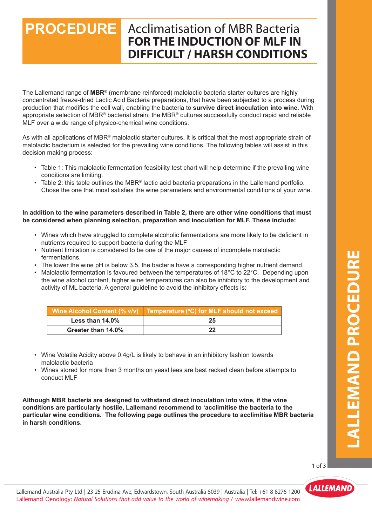# **PROCEDURE** Acclimatisation of MBR Bacteria **FOR THE INDUCTION OF MLF IN DIFFICULT / HARSH CONDITIONS**

The Lallemand range of **MBR**® (membrane reinforced) malolactic bacteria starter cultures are highly concentrated freeze-dried Lactic Acid Bacteria preparations, that have been subjected to a process during production that modifies the cell wall, enabling the bacteria to **survive direct inoculation into wine**. With appropriate selection of MBR® bacterial strain, the MBR® cultures successfully conduct rapid and reliable MLF over a wide range of physico-chemical wine conditions.

As with all applications of MBR® malolactic starter cultures, it is critical that the most appropriate strain of malolactic bacterium is selected for the prevailing wine conditions. The following tables will assist in this decision making process:

- Table 1: This malolactic fermentation feasibility test chart will help determine if the prevailing wine conditions are limiting.
- Table 2: this table outlines the MBR® lactic acid bacteria preparations in the Lallemand portfolio. Chose the one that most satisfies the wine parameters and environmental conditions of your wine.

#### **In addition to the wine parameters described in Table 2, there are other wine conditions that must be considered when planning selection, preparation and inoculation for MLF. These include:**

- Wines which have struggled to complete alcoholic fermentations are more likely to be deficient in nutrients required to support bacteria during the MLF
- Nutrient limitation is considered to be one of the major causes of incomplete malolactic fermentations.
- fermentations.<br>• The lower the wine pH is below 3.5, the bacteria have a corresponding higher nutrient demand.
	- Malolactic fermentation is favoured between the temperatures of 18 $^{\circ}$ C to 22 $^{\circ}$ C. Depending upon the wine alcohol content, higher wine temperatures can also be inhibitory to the development and activity of ML bacteria. A general guideline to avoid the inhibitory effects is:

|                    | │ Wine Alcohol Content (% v/v) │ Temperature (°C) for MLF should not exceed │ |
|--------------------|-------------------------------------------------------------------------------|
| Less than $14.0\%$ |                                                                               |
| Greater than 14.0% |                                                                               |

- Wine Volatile Acidity above 0.4g/L is likely to behave in an inhibitory fashion towards malolactic bacteria
- Wines stored for more than 3 months on yeast lees are best racked clean before attempts to<br>conduct MLF Lallemand Enología: *Un mundo de soluciones naturales para añadir valor a tus vinos* / www.lallemandwine.com conduct MLF

**Although MBR bacteria are designed to withstand direct inoculation into wine, if the wine conditions are particularly hostile, Lallemand recommend to 'acclimitise the bacteria to the particular wine conditions. The following page outlines the procedure to acclimitise MBR bacteria in harsh conditions.**

1 of 3

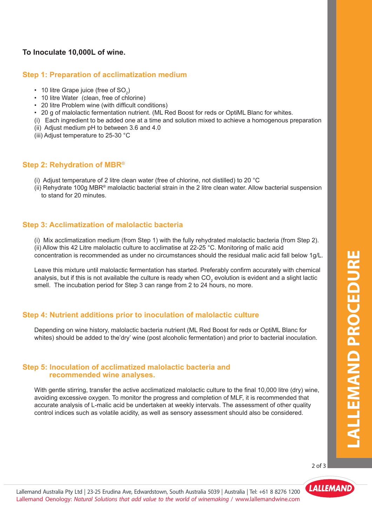#### **Step 1: Preparation of acclimatization medium**

- 10 litre Grape juice (free of  $SO_2$ )
- 10 litre Water (clean, free of chlorine)
- 20 litre Problem wine (with difficult conditions)
- 20 g of malolactic fermentation nutrient. (ML Red Boost for reds or OptiML Blanc for whites.
- (i) Each ingredient to be added one at a time and solution mixed to achieve a homogenous preparation
- (ii) Adjust medium pH to between 3.6 and 4.0
- (iii) Adjust temperature to 25-30 °C

#### **Step 2: Rehydration of MBR®**

- (i) Adjust temperature of 2 litre clean water (free of chlorine, not distilled) to 20 °C
- (ii) Rehydrate 100g MBR<sup>®</sup> malolactic bacterial strain in the 2 litre clean water. Allow bacterial suspension to stand for 20 minutes.

## **Step 3: Acclimatization of malolactic bacteria**

- (i) Mix acclimatization medium (from Step 1) with the fully rehydrated malolactic bacteria (from Step 2). (ii) Allow this 42 Litre malolactic culture to acclimatise at 22-25 °C. Monitoring of malic acid
- concentration is recommended as under no circumstances should the residual malic acid fall below 1g/L.

Leave this mixture until malolactic fermentation has started. Preferably confirm accurately with chemical analysis, but if this is not available the culture is ready when CO<sub>2</sub> evolution is evident and a slight lactic smell. The incubation period for Step 3 can range from 2 to 24 hours, no more.

## Step 4: Nutrient additions prior to inoculation of malolactic culture

Depending on wine history, malolactic bacteria nutrient (ML Red Boost for reds or OptiML Blanc for whites) should be added to the'dry' wine (post alcoholic fermentation) and prior to bacterial inoculation.

## **Recommended wine analyses.** The state  $\alpha$  is the state  $\alpha$  is the state  $\alpha$ **Step 5: Inoculation of acclimatized malolactic bacteria and**

With gentle stirring, transfer the active acclimatized malolactic culture to the final 10,000 litre (dry) wine, avoiding excessive oxygen. To monitor the progress and completion of MLF, it is recommended that accurate analysis of L-malic acid be undertaken at weekly intervals. The assessment of other quality control indices such as volatile acidity, as well as sensory assessment should also be considered.

Lallemand Enología: *Un mundo de soluciones naturales para añadir valor a tus vinos* / www.lallemandwine.com

2 of 3